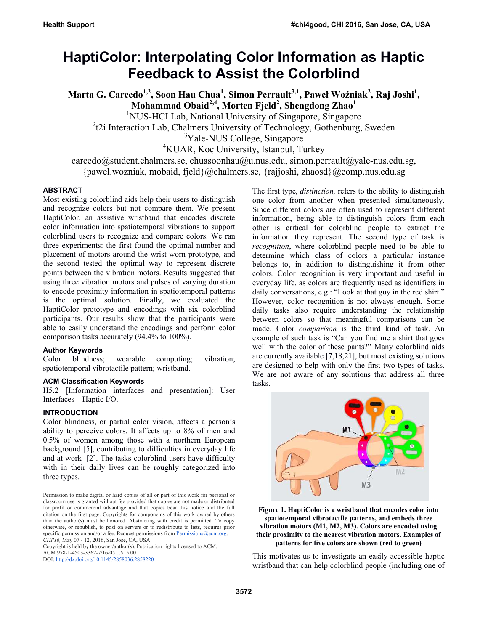# **HaptiColor: Interpolating Color Information as Haptic Feedback to Assist the Colorblind**

**Marta G. Carcedo1,2, Soon Hau Chua1 , Simon Perrault3,1, Paweł Woźniak<sup>2</sup> , Raj Joshi<sup>1</sup> , Mohammad Obaid2,4, Morten Fjeld2 , Shengdong Zhao<sup>1</sup>**

<sup>1</sup>NUS-HCI Lab, National University of Singapore, Singapore

<sup>2</sup>t2i Interaction Lab, Chalmers University of Technology, Gothenburg, Sweden

<sup>3</sup>Yale-NUS College, Singapore

4 KUAR, Koç University, Istanbul, Turkey

 $carcedo@student.chalmers.se, chuasoonhau@u.nus.edu, simon.perrault@yale-nus.edu.sg,$ {pawel.wozniak, mobaid, fjeld}@chalmers.se, {rajjoshi, zhaosd}@comp.nus.edu.sg

# **ABSTRACT**

Most existing colorblind aids help their users to distinguish and recognize colors but not compare them. We present HaptiColor, an assistive wristband that encodes discrete color information into spatiotemporal vibrations to support colorblind users to recognize and compare colors. We ran three experiments: the first found the optimal number and placement of motors around the wrist-worn prototype, and the second tested the optimal way to represent discrete points between the vibration motors. Results suggested that using three vibration motors and pulses of varying duration to encode proximity information in spatiotemporal patterns is the optimal solution. Finally, we evaluated the HaptiColor prototype and encodings with six colorblind participants. Our results show that the participants were able to easily understand the encodings and perform color comparison tasks accurately (94.4% to 100%).

# **Author Keywords**

Color blindness; wearable computing; vibration; spatiotemporal vibrotactile pattern; wristband.

## **ACM Classification Keywords**

H5.2 [Information interfaces and presentation]: User Interfaces – Haptic I/O.

## **INTRODUCTION**

Color blindness, or partial color vision, affects a person's ability to perceive colors. It affects up to 8% of men and 0.5% of women among those with a northern European background [5], contributing to difficulties in everyday life and at work [2]. The tasks colorblind users have difficulty with in their daily lives can be roughly categorized into three types.

Copyright is held by the owner/author(s). Publication rights licensed to ACM. ACM 978-1-4503-3362-7/16/05…\$15.00

DOI: http://dx.doi.org/10.1145/2858036.2858220

The first type, *distinction,* refers to the ability to distinguish one color from another when presented simultaneously. Since different colors are often used to represent different information, being able to distinguish colors from each other is critical for colorblind people to extract the information they represent. The second type of task is *recognition*, where colorblind people need to be able to determine which class of colors a particular instance belongs to, in addition to distinguishing it from other colors. Color recognition is very important and useful in everyday life, as colors are frequently used as identifiers in daily conversations, e.g.: "Look at that guy in the red shirt." However, color recognition is not always enough. Some daily tasks also require understanding the relationship between colors so that meaningful comparisons can be made. Color *comparison* is the third kind of task. An example of such task is "Can you find me a shirt that goes well with the color of these pants?" Many colorblind aids are currently available [7,18,21], but most existing solutions are designed to help with only the first two types of tasks. We are not aware of any solutions that address all three tasks.



**Figure 1. HaptiColor is a wristband that encodes color into spatiotemporal vibrotactile patterns, and embeds three vibration motors (M1, M2, M3). Colors are encoded using their proximity to the nearest vibration motors. Examples of patterns for five colors are shown (red to green)** 

This motivates us to investigate an easily accessible haptic wristband that can help colorblind people (including one of

Permission to make digital or hard copies of all or part of this work for personal or classroom use is granted without fee provided that copies are not made or distributed for profit or commercial advantage and that copies bear this notice and the full citation on the first page. Copyrights for components of this work owned by others than the author(s) must be honored. Abstracting with credit is permitted. To copy otherwise, or republish, to post on servers or to redistribute to lists, requires prior specific permission and/or a fee. Request permissions from Permissions@acm.org. *CHI'16,* May 07 - 12, 2016, San Jose, CA, USA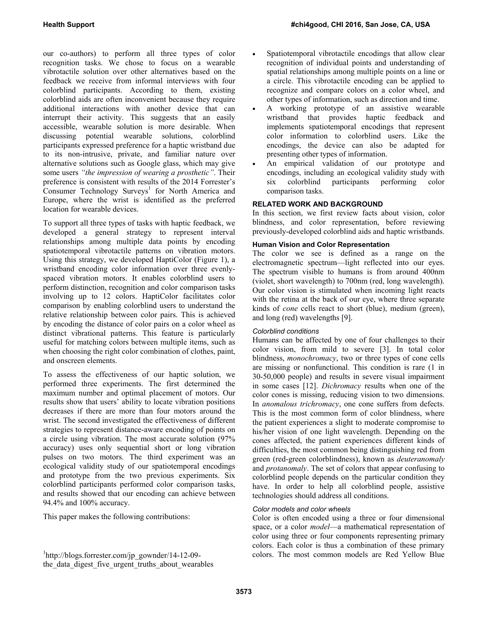our co-authors) to perform all three types of color recognition tasks. We chose to focus on a wearable vibrotactile solution over other alternatives based on the feedback we receive from informal interviews with four colorblind participants. According to them, existing colorblind aids are often inconvenient because they require additional interactions with another device that can interrupt their activity. This suggests that an easily accessible, wearable solution is more desirable. When discussing potential wearable solutions, colorblind participants expressed preference for a haptic wristband due to its non-intrusive, private, and familiar nature over alternative solutions such as Google glass, which may give some users *"the impression of wearing a prosthetic"*. Their preference is consistent with results of the 2014 Forrester's Consumer Technology Surveys<sup>1</sup> for North America and Europe, where the wrist is identified as the preferred location for wearable devices.

To support all three types of tasks with haptic feedback, we developed a general strategy to represent interval relationships among multiple data points by encoding spatiotemporal vibrotactile patterns on vibration motors. Using this strategy, we developed HaptiColor (Figure 1), a wristband encoding color information over three evenlyspaced vibration motors. It enables colorblind users to perform distinction, recognition and color comparison tasks involving up to 12 colors. HaptiColor facilitates color comparison by enabling colorblind users to understand the relative relationship between color pairs. This is achieved by encoding the distance of color pairs on a color wheel as distinct vibrational patterns. This feature is particularly useful for matching colors between multiple items, such as when choosing the right color combination of clothes, paint, and onscreen elements.

To assess the effectiveness of our haptic solution, we performed three experiments. The first determined the maximum number and optimal placement of motors. Our results show that users' ability to locate vibration positions decreases if there are more than four motors around the wrist. The second investigated the effectiveness of different strategies to represent distance-aware encoding of points on a circle using vibration. The most accurate solution (97% accuracy) uses only sequential short or long vibration pulses on two motors. The third experiment was an ecological validity study of our spatiotemporal encodings and prototype from the two previous experiments. Six colorblind participants performed color comparison tasks, and results showed that our encoding can achieve between 94.4% and 100% accuracy.

This paper makes the following contributions:

- Spatiotemporal vibrotactile encodings that allow clear recognition of individual points and understanding of spatial relationships among multiple points on a line or a circle. This vibrotactile encoding can be applied to recognize and compare colors on a color wheel, and other types of information, such as direction and time.
- A working prototype of an assistive wearable wristband that provides haptic feedback and implements spatiotemporal encodings that represent color information to colorblind users. Like the encodings, the device can also be adapted for presenting other types of information.
- An empirical validation of our prototype and encodings, including an ecological validity study with six colorblind participants performing color comparison tasks.

# **RELATED WORK AND BACKGROUND**

In this section, we first review facts about vision, color blindness, and color representation, before reviewing previously-developed colorblind aids and haptic wristbands.

## **Human Vision and Color Representation**

The color we see is defined as a range on the electromagnetic spectrum—light reflected into our eyes. The spectrum visible to humans is from around 400nm (violet, short wavelength) to 700nm (red, long wavelength). Our color vision is stimulated when incoming light reacts with the retina at the back of our eye, where three separate kinds of *cone* cells react to short (blue), medium (green), and long (red) wavelengths [9].

# *Colorblind conditions*

Humans can be affected by one of four challenges to their color vision, from mild to severe [3]. In total color blindness, *monochromacy*, two or three types of cone cells are missing or nonfunctional. This condition is rare (1 in 30-50,000 people) and results in severe visual impairment in some cases [12]. *Dichromacy* results when one of the color cones is missing, reducing vision to two dimensions. In *anomalous trichromacy*, one cone suffers from defects. This is the most common form of color blindness, where the patient experiences a slight to moderate compromise to his/her vision of one light wavelength. Depending on the cones affected, the patient experiences different kinds of difficulties, the most common being distinguishing red from green (red-green colorblindness), known as *deuteranomaly* and *protanomaly*. The set of colors that appear confusing to colorblind people depends on the particular condition they have. In order to help all colorblind people, assistive technologies should address all conditions.

## *Color models and color wheels*

Color is often encoded using a three or four dimensional space, or a color *model*—a mathematical representation of color using three or four components representing primary colors. Each color is thus a combination of these primary colors. The most common models are Red Yellow Blue

<sup>1</sup> http://blogs.forrester.com/jp\_gownder/14-12-09 the data digest five urgent truths about wearables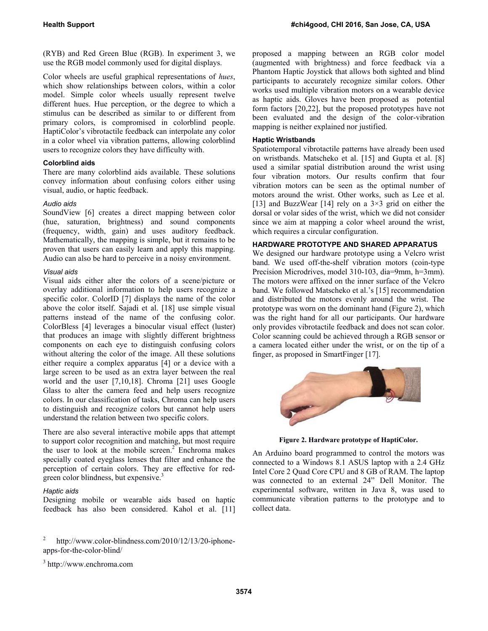(RYB) and Red Green Blue (RGB). In experiment 3, we use the RGB model commonly used for digital displays.

Color wheels are useful graphical representations of *hues*, which show relationships between colors, within a color model. Simple color wheels usually represent twelve different hues. Hue perception, or the degree to which a stimulus can be described as similar to or different from primary colors, is compromised in colorblind people. HaptiColor's vibrotactile feedback can interpolate any color in a color wheel via vibration patterns, allowing colorblind users to recognize colors they have difficulty with.

# **Colorblind aids**

There are many colorblind aids available. These solutions convey information about confusing colors either using visual, audio, or haptic feedback.

## *Audio aids*

SoundView [6] creates a direct mapping between color (hue, saturation, brightness) and sound components (frequency, width, gain) and uses auditory feedback. Mathematically, the mapping is simple, but it remains to be proven that users can easily learn and apply this mapping. Audio can also be hard to perceive in a noisy environment.

## *Visual aids*

Visual aids either alter the colors of a scene/picture or overlay additional information to help users recognize a specific color. ColorID [7] displays the name of the color above the color itself. Sajadi et al. [18] use simple visual patterns instead of the name of the confusing color. ColorBless [4] leverages a binocular visual effect (luster) that produces an image with slightly different brightness components on each eye to distinguish confusing colors without altering the color of the image. All these solutions either require a complex apparatus [4] or a device with a large screen to be used as an extra layer between the real world and the user [7,10,18]. Chroma [21] uses Google Glass to alter the camera feed and help users recognize colors. In our classification of tasks, Chroma can help users to distinguish and recognize colors but cannot help users understand the relation between two specific colors.

There are also several interactive mobile apps that attempt to support color recognition and matching, but most require the user to look at the mobile screen.<sup>2</sup> Enchroma makes specially coated eyeglass lenses that filter and enhance the perception of certain colors. They are effective for redgreen color blindness, but expensive.<sup>3</sup>

## *Haptic aids*

Designing mobile or wearable aids based on haptic feedback has also been considered. Kahol et al. [11]

2 http://www.color-blindness.com/2010/12/13/20-iphoneapps-for-the-color-blind/

3 http://www.enchroma.com

proposed a mapping between an RGB color model (augmented with brightness) and force feedback via a Phantom Haptic Joystick that allows both sighted and blind participants to accurately recognize similar colors. Other works used multiple vibration motors on a wearable device as haptic aids. Gloves have been proposed as potential form factors [20,22], but the proposed prototypes have not been evaluated and the design of the color-vibration mapping is neither explained nor justified.

## **Haptic Wristbands**

Spatiotemporal vibrotactile patterns have already been used on wristbands. Matscheko et al. [15] and Gupta et al. [8] used a similar spatial distribution around the wrist using four vibration motors. Our results confirm that four vibration motors can be seen as the optimal number of motors around the wrist. Other works, such as Lee et al. [13] and BuzzWear [14] rely on a  $3\times3$  grid on either the dorsal or volar sides of the wrist, which we did not consider since we aim at mapping a color wheel around the wrist, which requires a circular configuration.

## **HARDWARE PROTOTYPE AND SHARED APPARATUS**

We designed our hardware prototype using a Velcro wrist band. We used off-the-shelf vibration motors (coin-type Precision Microdrives, model 310-103, dia=9mm, h=3mm). The motors were affixed on the inner surface of the Velcro band. We followed Matscheko et al.'s [15] recommendation and distributed the motors evenly around the wrist. The prototype was worn on the dominant hand (Figure 2), which was the right hand for all our participants. Our hardware only provides vibrotactile feedback and does not scan color. Color scanning could be achieved through a RGB sensor or a camera located either under the wrist, or on the tip of a finger, as proposed in SmartFinger [17].



**Figure 2. Hardware prototype of HaptiColor.** 

An Arduino board programmed to control the motors was connected to a Windows 8.1 ASUS laptop with a 2.4 GHz Intel Core 2 Quad Core CPU and 8 GB of RAM. The laptop was connected to an external 24" Dell Monitor. The experimental software, written in Java 8, was used to communicate vibration patterns to the prototype and to collect data.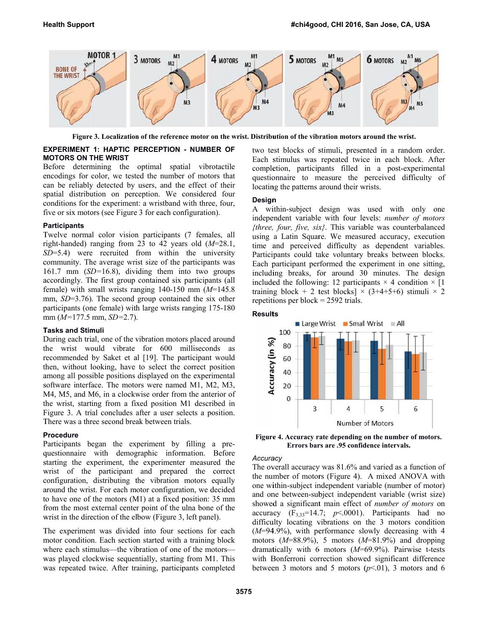

Figure 3. Localization of the reference motor on the wrist. Distribution of the vibration motors around the wrist.

#### **E EXPERIMENT 1: HAPTIC P PERCEPTION - NUMBER O OF M MOTORS ON T THE WRIST**

Before determining the optimal spatial vibrotactile encodings for color, we tested the number of motors that can be reliably detected by users, and the effect of their spatial distribution on perception. We considered four conditions for the experiment: a wristband with three, four, five or six motors (see Figure 3 for each configuration).

#### **P Participants**

Twelve normal color vision participants (7 females, all right-handed) ranging from 23 to 42 years old  $(M=28.1,$  $SD = 5.4$ ) were recruited from within the university community. The average wrist size of the participants was 161.7 mm  $(SD=16.8)$ , dividing them into two groups accordingly. The first group contained six participants (all female) with small wrists ranging  $140-150$  mm  $(M=145.8)$ mm, *SD*=3.76). The second group contained the six other participants (one female) with large wrists ranging 175-180 m mm (*M=*177.5 mm, *SD=*2.7) .

#### **T Tasks and Stim muli**

During each trial, one of the vibration motors placed around the wrist would vibrate for 600 milliseconds as recommended by Saket et al [19]. The participant would then, without looking, have to select the correct position among all possible positions displayed on the experimental software interface. The motors were named M1, M2, M3, M4, M5, and M6, in a clockwise order from the anterior of the wrist, starting from a fixed position M1 described in Figure 3. A trial concludes after a user selects a position. There was a three second break between trials.

#### **P Procedure**

Participants began the experiment by filling a prequestionnaire with demographic information. Before starting the experiment, the experimenter measured the wrist of the participant and prepared the correct configuration, distributing the vibration motors equally around the wrist. For each motor configuration, we decided to have one of the motors  $(M1)$  at a fixed position: 35 mm from the most external center point of the ulna bone of the wrist in the direction of the elbow (Figure 3, left panel).

The experiment was divided into four sections for each motor condition. Each section started with a training block where each stimulus—the vibration of one of the motors where each stimulus—the vibration of one of the motors—<br>was played clockwise sequentially, starting from M1. This was repeated twice. After training, participants completed two test blocks of stimuli, presented in a random order. Each stimulus was repeated twice in each block. After completion, participants filled in a post-experimental questionnaire to measure the perceived difficulty of locating the patterns around their wrists.

#### **Design n**

A wi ithin-subject design was used with only one independent variable with four levels: *number of motors*  ${three, four, five, six}.$  This variable was counterbalanced using a Latin Square. We measured accuracy, execution time and perceived difficulty as dependent variables. Participants could take voluntary breaks between blocks. Each participant performed the experiment in one sitting, including breaks, for around 30 minutes. The design included the following: 12 participants  $\times$  4 condition  $\times$  [1] training block + 2 test blocks]  $\times$  (3+4+5+6) stimuli  $\times$  2 repetiti ions per block = 2592 trials.

#### **Result ts**



Figure 4. Accuracy rate depending on the number of motors. **Errors bars are .95 confidence intervals.** 

#### *Accura acy*

The overall accuracy was 81.6% and varied as a function of the number of motors (Figure 4). A mixed ANOVA with one within-subject independent variable (number of motor) and one between-subject independent variable (wrist size) showed a significant main effect of *number of motors* on accuracy  $(F_{3,33}=14.7; p<.0001)$ . Participants had no difficulty locating vibrations on the 3 motors condition  $(M=94.9\%)$ , with performance slowly decreasing with 4 motors  $(M=88.9\%)$ , 5 motors  $(M=81.9\%)$  and dropping dramatically with 6 motors (M=69.9%). Pairwise t-tests with Bonferroni correction showed significant difference between 3 motors and 5 motors  $(p<.01)$ , 3 motors and 6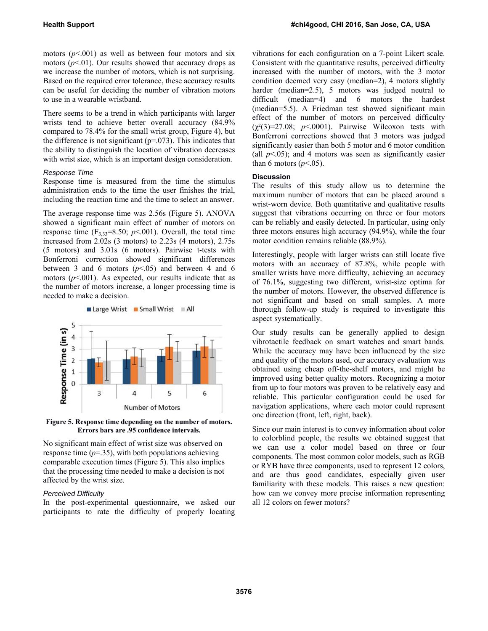motors  $(p<.001)$  as well as between four motors and six motors  $(p<01)$ . Our results showed that accuracy drops as we increase the number of motors, which is not surprising. Based on the required error tolerance, these accuracy results can be useful for deciding the number of vibration motors to use in a wearable wristband.

There seems to be a trend in which participants with larger wrists tend to achieve better overall accuracy (84.9% compared to 78.4% for the small wrist group, Figure 4), but the difference is not significant  $(p=0.073)$ . This indicates that the ability to distinguish the location of vibration decreases with wrist size, which is an important design consideration.

### *R Response Time e*

Response time is measured from the time the stimulus administration ends to the time the user finishes the trial, including the reaction time and the time to select an answer.

The average response time was 2.56s (Figure 5). ANOVA showed a significant main effect of number of motors on response time  $(F_{3,33}=8.50; p<.001)$ . Overall, the total time increased from  $2.02s$  (3 motors) to  $2.23s$  (4 motors),  $2.75s$ (5 motors) and 3.01s (6 motors). Pairwise t-tests with Bonferroni correction showed significant differences between 3 and 6 motors  $(p< 0.05)$  and between 4 and 6 motors  $(p<.001)$ . As expected, our results indicate that as the number of motors increase, a longer processing time is n needed to make e a decision.



Figure 5. Response time depending on the number of motors. **Errors bars are .95 confidence intervals.** 

N No significant m main effect of wrist size was observed on response time  $(p=35)$ , with both populations achieving comparable execution times (Figure 5). This also implies that the processing time needed to make a decision is not a affected by the wrist size.

## *P Perceived Diffic culty*

In the post-experimental questionnaire, we asked our participants to rate the difficulty of properly locating vibrations for each configuration on a 7-point Likert scale. Consistent with the quantitative results, perceived difficulty increased with the number of motors, with the 3 motor condition deemed very easy (median=2), 4 motors slightly harder (median=2.5), 5 motors was judged neutral to difficult (median=4) and 6 motors the hardest (median=5.5). A Friedman test showed significant main effect of the number of motors on perceived difficulty  $(\chi^2(3)=27.08; p<.0001)$ . Pairwise Wilcoxon tests with Bonferroni corrections showed that 3 motors was judged significantly easier than both 5 motor and 6 motor condition (all  $p<0.05$ ); and 4 motors was seen as significantly easier than 6 motors  $(p<.05)$ .

#### **Discus ssion**

The results of this study allow us to determine the maximum number of motors that can be placed around a wrist-worn device. Both quantitative and qualitative results suggest that vibrations occurring on three or four motors can be reliably and easily detected. In particular, using only three motors ensures high accuracy (94.9%), while the four motor condition remains reliable (88.9%).

Interestingly, people with larger wrists can still locate five motors with an accuracy of 87.8%, while people with smaller wrists have more difficulty, achieving an accuracy of 76.1%, suggesting two different, wrist-size optima for the number of motors. However, the observed difference is not significant and based on small samples. A more thorough follow-up study is required to investigate this aspect systematically.

Our study results can be generally applied to design vibrotactile feedback on smart watches and smart bands. While the accuracy may have been influenced by the size and quality of the motors used, our accuracy evaluation was obtained using cheap off-the-shelf motors, and might be improved using better quality motors. Recognizing a motor from up to four motors was proven to be relatively easy and reliable. This particular configuration could be used for navigation applications, where each motor could represent one direction (front, left, right, back).

Since our main interest is to convey information about color to colorblind people, the results we obtained suggest that we can use a color model based on three or four components. The most common color models, such as RGB or RYB have three components, used to represent 12 colors, and a are thus good d candidates, especially g given user familiarity with these models. This raises a new question: how can we convey more precise information representing all 12 colors on fewer motors?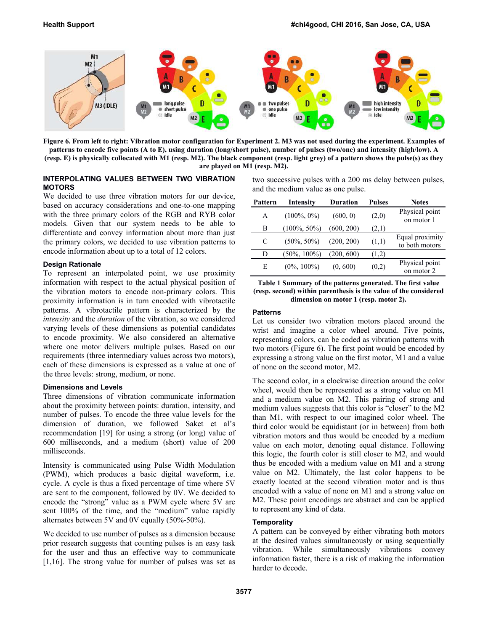

**Figure 6. From left to right: Vibration motor configuration for Experiment 2. M3 was not used during the experiment. Examples of patterns to encode five points (A to E), using duration (long/short pulse), number of pulses (two/one) and intensity (high/low). A (resp. E) is physically collocated with M1 (resp. M2). The black component (resp. light grey) of a pattern shows the pulse(s) as they are played on M1 (resp. M2).** 

## **INTERPOLATING VALUES BETWEEN TWO VIBRATION MOTORS**

We decided to use three vibration motors for our device, based on accuracy considerations and one-to-one mapping with the three primary colors of the RGB and RYB color models. Given that our system needs to be able to differentiate and convey information about more than just the primary colors, we decided to use vibration patterns to encode information about up to a total of 12 colors.

## **Design Rationale**

To represent an interpolated point, we use proximity information with respect to the actual physical position of the vibration motors to encode non-primary colors. This proximity information is in turn encoded with vibrotactile patterns. A vibrotactile pattern is characterized by the *intensity* and the *duration* of the vibration, so we considered varying levels of these dimensions as potential candidates to encode proximity. We also considered an alternative where one motor delivers multiple pulses. Based on our requirements (three intermediary values across two motors), each of these dimensions is expressed as a value at one of the three levels: strong, medium, or none.

## **Dimensions and Levels**

Three dimensions of vibration communicate information about the proximity between points: duration, intensity, and number of pulses. To encode the three value levels for the dimension of duration, we followed Saket et al's recommendation [19] for using a strong (or long) value of 600 milliseconds, and a medium (short) value of 200 milliseconds.

Intensity is communicated using Pulse Width Modulation (PWM), which produces a basic digital waveform, i.e. cycle. A cycle is thus a fixed percentage of time where 5V are sent to the component, followed by 0V. We decided to encode the "strong" value as a PWM cycle where 5V are sent 100% of the time, and the "medium" value rapidly alternates between 5V and 0V equally (50%-50%).

We decided to use number of pulses as a dimension because prior research suggests that counting pulses is an easy task for the user and thus an effective way to communicate [1,16]. The strong value for number of pulses was set as two successive pulses with a 200 ms delay between pulses, and the medium value as one pulse.

| Pattern | Intensity       | Duration   | <b>Pulses</b> | <b>Notes</b>                      |
|---------|-----------------|------------|---------------|-----------------------------------|
| A       | $(100\%, 0\%)$  | (600, 0)   | (2,0)         | Physical point<br>on motor 1      |
| В       | $(100\%, 50\%)$ | (600, 200) | (2,1)         |                                   |
| C       | $(50\%, 50\%)$  | (200, 200) | (1,1)         | Equal proximity<br>to both motors |
| D       | $(50\%, 100\%)$ | (200, 600) | (1,2)         |                                   |
| E       | $(0\%, 100\%)$  | (0, 600)   | (0,2)         | Physical point<br>on motor 2      |

**Table 1 Summary of the patterns generated. The first value (resp. second) within parenthesis is the value of the considered dimension on motor 1 (resp. motor 2).** 

## **Patterns**

Let us consider two vibration motors placed around the wrist and imagine a color wheel around. Five points, representing colors, can be coded as vibration patterns with two motors (Figure 6). The first point would be encoded by expressing a strong value on the first motor, M1 and a value of none on the second motor, M2.

The second color, in a clockwise direction around the color wheel, would then be represented as a strong value on M1 and a medium value on M2. This pairing of strong and medium values suggests that this color is "closer" to the M2 than M1, with respect to our imagined color wheel. The third color would be equidistant (or in between) from both vibration motors and thus would be encoded by a medium value on each motor, denoting equal distance. Following this logic, the fourth color is still closer to M2, and would thus be encoded with a medium value on M1 and a strong value on M2. Ultimately, the last color happens to be exactly located at the second vibration motor and is thus encoded with a value of none on M1 and a strong value on M2. These point encodings are abstract and can be applied to represent any kind of data.

# **Temporality**

A pattern can be conveyed by either vibrating both motors at the desired values simultaneously or using sequentially vibration. While simultaneously vibrations convey information faster, there is a risk of making the information harder to decode.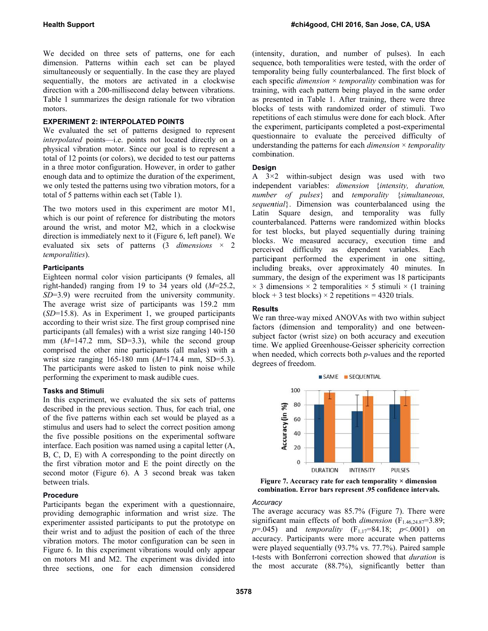We decided on three sets of patterns, one for each dimension. Patterns within each set can be played simultaneously or sequentially. In the case they are played sequentially, the motors are activated in a clockwise direction with a 200-millisecond delay between vibrations. Table 1 summarizes the design rationale for two vibration m motors.

#### **EXPERIMENT 2: INTERPOLATED POINTS**

We evaluated the set of patterns designed to represent *interpolated* points—i.e. points not located directly on a physical vibration motor. Since our goal is to represent a total of 12 points (or colors), we decided to test our patterns in a three motor configuration. However, in order to gather enough data and to optimize the duration of the experiment, we only tested the patterns using two vibration motors, for a total of 5 patterns within each set (Table 1).

The two motors used in this experiment are motor M1, which is our point of reference for distributing the motors around the wrist, and motor M2, which in a clockwise direction is immediately next to it (Figure 6, left panel). We evaluated six sets of patterns  $(3 \text{ dimensions} \times 2)$ *te emporalities*).

#### **P Participants**

Eighteen normal color vision participants (9 females, all right-handed) ranging from 19 to 34 years old  $(M=25.2,$ SD=3.9) were recruited from the university community. The average wrist size of participants was 159.2 mm  $(SD=15.8)$ . As in Experiment 1, we grouped participants according to their wrist size. The first group comprised nine participants (all females) with a wrist size ranging 140-150 mm  $(M=147.2 \text{ mm}, SD=3.3)$ , while the second group comprised the other nine participants (all males) with a wrist size ranging 165-180 mm (*M*=174.4 mm, SD=5.3). The participants were asked to listen to pink noise while p performing the experiment to mask audible cues.

#### **T Tasks and Stim muli**

In this experiment, we evaluated the six sets of patterns described in the previous section. Thus, for each trial, one of the five patterns within each set would be played as a stimulus and users had to select the correct position among the five possible positions on the experimental software interface. Each position was named using a capital letter (A,  $B, C, D, E$ ) with A corresponding to the point directly on the first vibration motor and E the point directly on the second motor (Figure 6). A 3 second break was taken b between trials.

#### **P Procedure**

Participants began the experiment with a questionnaire, providing demographic information and wrist size. The experimenter assisted participants to put the prototype on their wrist and to adjust the position of each of the three vibration motors. The motor configuration can be seen in Figure 6. In this experiment vibrations would only appear on motors M1 and M2. The experiment was divided into three sections, one for each dimension considered (intensity, duration, and number of pulses). In each sequence, both temporalities were tested, with the order of temporality being fully counterbalanced. The first block of each specific *dimension*  $\times$  *temporality* combination was for training, with each pattern being played in the same order as presented in Table 1. After training, there were three blocks of tests with randomized order of stimuli. Two repetitions of each stimulus were done for each block. After the experiment, participants completed a post-experimental questionnaire to evaluate the perceived difficulty of understanding the patterns for each *dimension*  $\times$  *temporality* combination.

#### **Design n**

A  $3\times 2$  within-subject design was used with two independent variables: *dimension {intensity, duration, number of pulses*} and *temporality* {*simultaneous,* sequential}. Dimension was counterbalanced using the Latin Square design, and temporality was fully counterbalanced. Patterns were randomized within blocks for test blocks, but played sequentially during training blocks. We measured accuracy, execution time and perceived difficulty as dependent variables. Each participant performed the experiment in one sitting, including breaks, over approximately 40 minutes. In summary, the design of the experiment was 18 participants  $\times$  3 dimensions  $\times$  2 temporalities  $\times$  5 stimuli  $\times$  (1 training block + 3 test blocks)  $\times$  2 repetitions = 4320 trials.

#### **Result ts**

We ran three-way mixed ANOVAs with two within subject factors (dimension and temporality) and one betweensubject factor (wrist size) on both accuracy and execution time. We applied Greenhouse-Geisser sphericity correction when needed, which corrects both *p*-values and the reported degrees of freedom.



**Figure 7. Accuracy rate for each temporality × dimension comb bination. Error bars represent .95 confidence intervals.** 

#### *Accura acy*

The average accuracy was 85.7% (Figure 7). There were significant main effects of both *dimension*  $(F_{1.46,24.87} = 3.89)$ ; *p*=.045) and *temporality* (F<sub>1,17</sub>=84.18; *p* <.0001) on accuracy. Participants were more accurate when patterns were played sequentially (93.7% vs. 77.7%). Paired sample t-tests with Bonferroni correction showed that *duration* is the m most accurate (88.7%), si ignificantly b etter than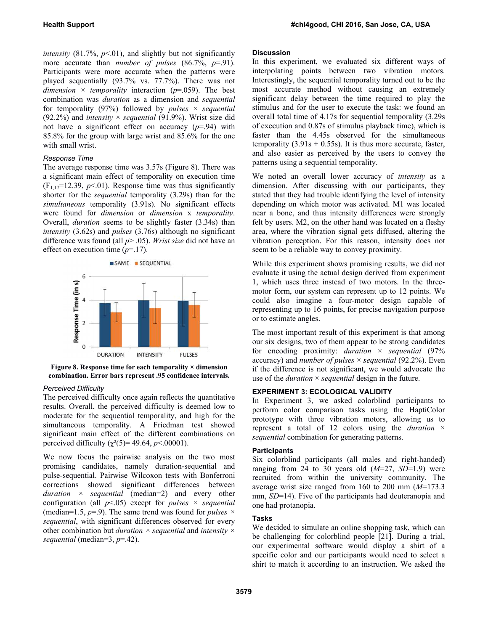*intensity* (81.7%,  $p<.01$ ), and slightly but not significantly more accurate than *number of pulses*  $(86.7\%, p=.91)$ . Participants were more accurate when the patterns were played sequentially (93.7% vs. 77.7%). There was not *dimension*  $\times$  *temporality* interaction ( $p=0.059$ ). The best combination was *duration* as a dimension and *sequential* for temporality (97%) followed by *pulses*  $\times$  *sequential*  $(92.2%)$  and *intensity*  $\times$  *sequential* (91.9%). Wrist size did not have a significant effect on accuracy  $(p=0.94)$  with 85.8% for the group with large wrist and 85.6% for the one with small wrist.

#### *R Response Time e*

The average response time was 3.57s (Figure 8). There was a significant main effect of temporality on execution time  $(F_{1,17} = 12.39, p<0.01)$ . Response time was thus significantly shorter for the *sequential* temporality (3.29s) than for the simultaneous temporality (3.91s). No significant effects were found for *dimension* or *dimension* x *temporality*. Overall, *duration* seems to be slightly faster (3.34s) than *intensity* (3.62s) and *pulses* (3.76s) although no significant d difference was found (all *p*> . .05). *Wrist size e* did not have an effect on execution time  $(p=17)$ .



Figure 8. Response time for each temporality  $\times$  dimension combination. Error bars represent .95 confidence intervals.

#### *P Perceived Diffic culty*

The perceived difficulty once again reflects the quantitative results. Overall, the perceived difficulty is deemed low to moderate for the sequential temporality, and high for the simultaneous temporality. A Friedman test showed significant main effect of the different combinations on perceived difficulty  $(\chi^2(5) = 49.64, p < .00001)$ .

We now focus the pairwise analysis on the two most promising candidates, namely duration-sequential and pulse-sequential. Pairwise Wilcoxon tests with Bonferroni corrections showed significant differences between *duration* × *sequential* (median=2) and every other configuration (all  $p<05$ ) except for *pulses*  $\times$  *sequential* (median=1.5,  $p=0$ ). The same trend was found for *pulses*  $\times$ sequential, with significant differences observed for every other combination but *duration*  $\times$  *sequential* and *intensity*  $\times$  $sequential$  (median=3,  $p=$ -42).

#### **Discus ssion**

In this experiment, we evaluated six different ways of interpolating points between two vibration motors. Interestingly, the sequential temporality turned out to be the most accurate method without causing an extremely significant delay between the time required to play the stimulus and for the user to execute the task: we found an overall total time of 4.17s for sequential temporality (3.29s) of execution and 0.87s of stimulus playback time), which is faster than the 4.45s observed for the simultaneous temporality  $(3.91s + 0.55s)$ . It is thus more accurate, faster, and al lso easier as p perceived by the users to c convey the patterns using a sequential temporality.

We noted an overall lower accuracy of *intensity* as a dimension. After discussing with our participants, they stated that they had trouble identifying the level of intensity depending on which motor was activated. M1 was located near a bone, and thus intensity differences were strongly felt by users. M2, on the other hand was located on a fleshy area, where the vibration signal gets diffused, altering the vibration perception. For this reason, intensity does not seem to be a reliable way to convey proximity.

While this experiment shows promising results, we did not evaluate it using the actual design derived from experiment 1, which uses three instead of two motors. In the threemotor form, our system can represent up to 12 points. We could also imagine a four-motor design capable of representing up to 16 points, for precise navigation purpose or to estimate angles.

The most important result of this experiment is that among our six x designs, two of them appea ar to be strong candidates for encoding proximity: *duration* × *sequential* (97% accuracy) and *number of pulses*  $\times$  *sequential* (92.2%). Even if the difference is not significant, we would advocate the use of the *duration*  $\times$  *sequential* design in the future.

#### **EXPER RIMENT 3: EC COLOGICAL VA ALIDITY**

In Experiment 3, we asked colorblind participants to perform color comparison tasks using the HaptiColor prototype with three vibration motors, allowing us to represent a total of 12 colors using the *duration*  $\times$ sequential combination for generating patterns.

#### **Partici ipants**

Six colorblind participants (all males and right-handed) ranging from 24 to 30 years old  $(M=27, SD=1.9)$  were recruited from within the university community. The average wrist size ranged from  $160$  to  $200$  mm  $(M=173.3)$ mm, *SD*=14). Five of the participants had deuteranopia and one ha ad protanopia.

#### **Tasks**

We decided to simulate an online shopping task, which can be challenging for colorblind people [21]. During a trial, our experimental software would display a shirt of a specific color and our participants would need to select a shirt to match it according to an instruction. We asked the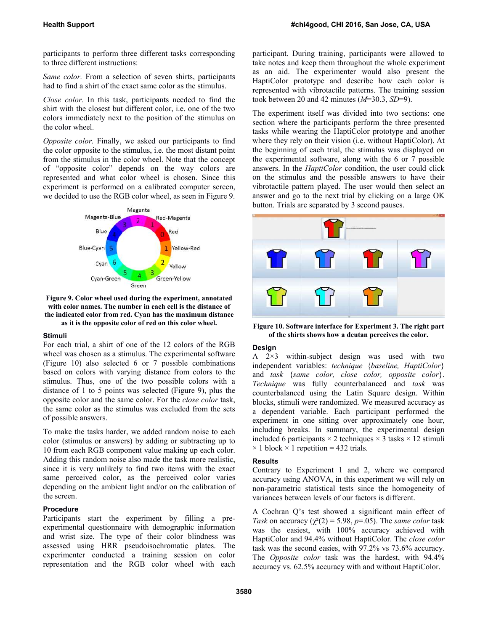participants to perform three different tasks corresponding to three different instructions:

*Same color.* From a selection of seven shirts, participants had to find a shirt of the exact same color as the stimulus.

*Close color.* In this task, participants needed to find the shirt with the closest but different color, i.e. one of the two colors immediately next to the position of the stimulus on the color wheel.

*Opposite color.* Finally, we asked our participants to find the color opposite to the stimulus, i.e. the most distant point from the stimulus in the color wheel. Note that the concept of "opposite color" depends on the way colors are represented and what color wheel is chosen. Since this experiment is performed on a calibrated computer screen, we decided to use the RGB color wheel, as seen in Figure 9.



**Figure 9. Color wheel used during the experiment, annotated with color names. The number in each cell is the distance of the indicated color from red. Cyan has the maximum distance as it is the opposite color of red on this color wheel.** 

## **Stimuli**

For each trial, a shirt of one of the 12 colors of the RGB wheel was chosen as a stimulus. The experimental software (Figure 10) also selected 6 or 7 possible combinations based on colors with varying distance from colors to the stimulus. Thus, one of the two possible colors with a distance of 1 to 5 points was selected (Figure 9), plus the opposite color and the same color. For the *close color* task, the same color as the stimulus was excluded from the sets of possible answers.

To make the tasks harder, we added random noise to each color (stimulus or answers) by adding or subtracting up to 10 from each RGB component value making up each color. Adding this random noise also made the task more realistic, since it is very unlikely to find two items with the exact same perceived color, as the perceived color varies depending on the ambient light and/or on the calibration of the screen.

## **Procedure**

Participants start the experiment by filling a preexperimental questionnaire with demographic information and wrist size. The type of their color blindness was assessed using HRR pseudoisochromatic plates. The experimenter conducted a training session on color representation and the RGB color wheel with each participant. During training, participants were allowed to take notes and keep them throughout the whole experiment as an aid. The experimenter would also present the HaptiColor prototype and describe how each color is represented with vibrotactile patterns. The training session took between 20 and 42 minutes (*M*=30.3, *SD*=9).

The experiment itself was divided into two sections: one section where the participants perform the three presented tasks while wearing the HaptiColor prototype and another where they rely on their vision (i.e. without HaptiColor). At the beginning of each trial, the stimulus was displayed on the experimental software, along with the 6 or 7 possible answers. In the *HaptiColor* condition, the user could click on the stimulus and the possible answers to have their vibrotactile pattern played. The user would then select an answer and go to the next trial by clicking on a large OK button. Trials are separated by 3 second pauses.



**Figure 10. Software interface for Experiment 3. The right part of the shirts shows how a deutan perceives the color.** 

## **Design**

A 2×3 within-subject design was used with two independent variables: *technique* {*baseline, HaptiColor*} and *task* {*same color, close color, opposite color*}. *Technique* was fully counterbalanced and *task* was counterbalanced using the Latin Square design. Within blocks, stimuli were randomized. We measured accuracy as a dependent variable. Each participant performed the experiment in one sitting over approximately one hour, including breaks. In summary, the experimental design included 6 participants  $\times$  2 techniques  $\times$  3 tasks  $\times$  12 stimuli  $\times$  1 block  $\times$  1 repetition = 432 trials.

## **Results**

Contrary to Experiment 1 and 2, where we compared accuracy using ANOVA, in this experiment we will rely on non-parametric statistical tests since the homogeneity of variances between levels of our factors is different.

A Cochran Q's test showed a significant main effect of Task on accuracy ( $\chi^2(2) = 5.98$ ,  $p=0.05$ ). The *same color* task was the easiest, with 100% accuracy achieved with HaptiColor and 94.4% without HaptiColor. The *close color* task was the second easies, with 97.2% vs 73.6% accuracy. The *Opposite color* task was the hardest, with 94.4% accuracy vs. 62.5% accuracy with and without HaptiColor.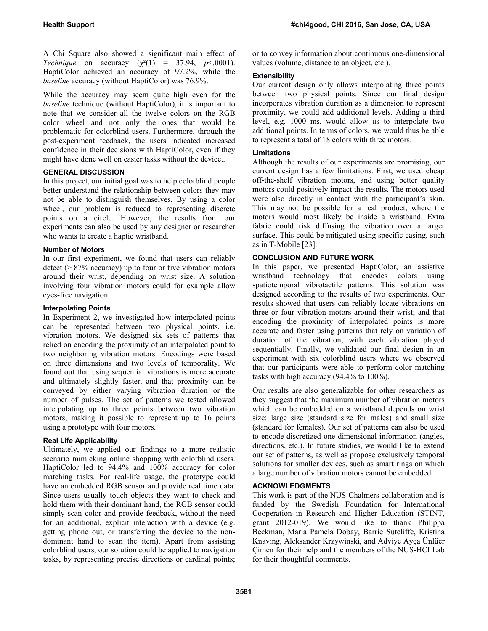A Chi Square also showed a significant main effect of *Technique* on accuracy  $(\gamma^2(1) = 37.94, p < .0001)$ . HaptiColor achieved an accuracy of 97.2%, while the *baseline* accuracy (without HaptiColor) was 76.9%.

While the accuracy may seem quite high even for the *baseline* technique (without HaptiColor), it is important to note that we consider all the twelve colors on the RGB color wheel and not only the ones that would be problematic for colorblind users. Furthermore, through the post-experiment feedback, the users indicated increased confidence in their decisions with HaptiColor, even if they might have done well on easier tasks without the device..

## **GENERAL DISCUSSION**

In this project, our initial goal was to help colorblind people better understand the relationship between colors they may not be able to distinguish themselves. By using a color wheel, our problem is reduced to representing discrete points on a circle. However, the results from our experiments can also be used by any designer or researcher who wants to create a haptic wristband.

## **Number of Motors**

In our first experiment, we found that users can reliably detect ( $\geq$  87% accuracy) up to four or five vibration motors around their wrist, depending on wrist size. A solution involving four vibration motors could for example allow eyes-free navigation.

## **Interpolating Points**

In Experiment 2, we investigated how interpolated points can be represented between two physical points, i.e. vibration motors. We designed six sets of patterns that relied on encoding the proximity of an interpolated point to two neighboring vibration motors. Encodings were based on three dimensions and two levels of temporality. We found out that using sequential vibrations is more accurate and ultimately slightly faster, and that proximity can be conveyed by either varying vibration duration or the number of pulses. The set of patterns we tested allowed interpolating up to three points between two vibration motors, making it possible to represent up to 16 points using a prototype with four motors.

# **Real Life Applicability**

Ultimately, we applied our findings to a more realistic scenario mimicking online shopping with colorblind users. HaptiColor led to 94.4% and 100% accuracy for color matching tasks. For real-life usage, the prototype could have an embedded RGB sensor and provide real time data. Since users usually touch objects they want to check and hold them with their dominant hand, the RGB sensor could simply scan color and provide feedback, without the need for an additional, explicit interaction with a device (e.g. getting phone out, or transferring the device to the nondominant hand to scan the item). Apart from assisting colorblind users, our solution could be applied to navigation tasks, by representing precise directions or cardinal points;

or to convey information about continuous one-dimensional values (volume, distance to an object, etc.).

## **Extensibility**

Our current design only allows interpolating three points between two physical points. Since our final design incorporates vibration duration as a dimension to represent proximity, we could add additional levels. Adding a third level, e.g. 1000 ms, would allow us to interpolate two additional points. In terms of colors, we would thus be able to represent a total of 18 colors with three motors.

## **Limitations**

Although the results of our experiments are promising, our current design has a few limitations. First, we used cheap off-the-shelf vibration motors, and using better quality motors could positively impact the results. The motors used were also directly in contact with the participant's skin. This may not be possible for a real product, where the motors would most likely be inside a wristband. Extra fabric could risk diffusing the vibration over a larger surface. This could be mitigated using specific casing, such as in T-Mobile [23].

## **CONCLUSION AND FUTURE WORK**

In this paper, we presented HaptiColor, an assistive wristband technology that encodes colors using spatiotemporal vibrotactile patterns. This solution was designed according to the results of two experiments. Our results showed that users can reliably locate vibrations on three or four vibration motors around their wrist; and that encoding the proximity of interpolated points is more accurate and faster using patterns that rely on variation of duration of the vibration, with each vibration played sequentially. Finally, we validated our final design in an experiment with six colorblind users where we observed that our participants were able to perform color matching tasks with high accuracy (94.4% to 100%).

Our results are also generalizable for other researchers as they suggest that the maximum number of vibration motors which can be embedded on a wristband depends on wrist size: large size (standard size for males) and small size (standard for females). Our set of patterns can also be used to encode discretized one-dimensional information (angles, directions, etc.). In future studies, we would like to extend our set of patterns, as well as propose exclusively temporal solutions for smaller devices, such as smart rings on which a large number of vibration motors cannot be embedded.

# **ACKNOWLEDGMENTS**

This work is part of the NUS-Chalmers collaboration and is funded by the Swedish Foundation for International Cooperation in Research and Higher Education (STINT, grant 2012-019). We would like to thank Philippa Beckman, Maria Pamela Dobay, Barrie Sutcliffe, Kristina Knaving, Aleksander Krzywinski, and Adviye Ayça Ünlüer Çimen for their help and the members of the NUS-HCI Lab for their thoughtful comments.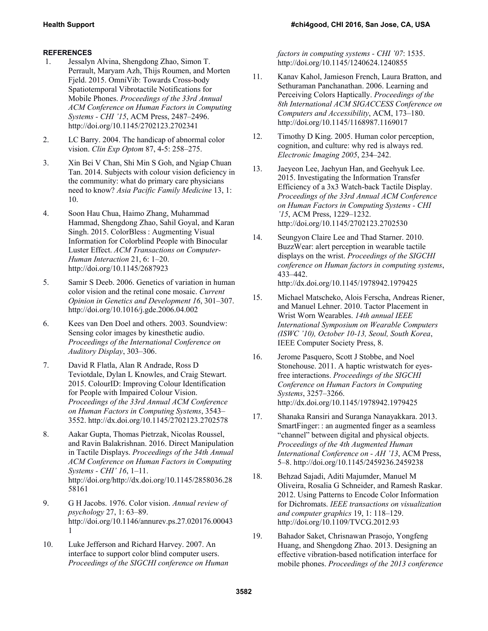# **REFERENCES**

- 1. Jessalyn Alvina, Shengdong Zhao, Simon T. Perrault, Maryam Azh, Thijs Roumen, and Morten Fjeld. 2015. OmniVib: Towards Cross-body Spatiotemporal Vibrotactile Notifications for Mobile Phones. *Proceedings of the 33rd Annual ACM Conference on Human Factors in Computing Systems - CHI '15*, ACM Press, 2487–2496. http://doi.org/10.1145/2702123.2702341
- 2. LC Barry. 2004. The handicap of abnormal color vision. *Clin Exp Optom* 87, 4-5: 258–275.
- 3. Xin Bei V Chan, Shi Min S Goh, and Ngiap Chuan Tan. 2014. Subjects with colour vision deficiency in the community: what do primary care physicians need to know? *Asia Pacific Family Medicine* 13, 1: 10.
- 4. Soon Hau Chua, Haimo Zhang, Muhammad Hammad, Shengdong Zhao, Sahil Goyal, and Karan Singh. 2015. ColorBless : Augmenting Visual Information for Colorblind People with Binocular Luster Effect. *ACM Transactions on Computer-Human Interaction* 21, 6: 1–20. http://doi.org/10.1145/2687923
- 5. Samir S Deeb. 2006. Genetics of variation in human color vision and the retinal cone mosaic. *Current Opinion in Genetics and Development 16*, 301–307. http://doi.org/10.1016/j.gde.2006.04.002
- 6. Kees van Den Doel and others. 2003. Soundview: Sensing color images by kinesthetic audio. *Proceedings of the International Conference on Auditory Display*, 303–306.
- 7. David R Flatla, Alan R Andrade, Ross D Teviotdale, Dylan L Knowles, and Craig Stewart. 2015. ColourID: Improving Colour Identification for People with Impaired Colour Vision. *Proceedings of the 33rd Annual ACM Conference on Human Factors in Computing Systems*, 3543– 3552. http://dx.doi.org/10.1145/2702123.2702578
- 8. Aakar Gupta, Thomas Pietrzak, Nicolas Roussel, and Ravin Balakrishnan. 2016. Direct Manipulation in Tactile Displays. *Proceedings of the 34th Annual ACM Conference on Human Factors in Computing Systems - CHI' 16*, 1–11. http://doi.org/http://dx.doi.org/10.1145/2858036.28 58161
- 9. G H Jacobs. 1976. Color vision. *Annual review of psychology* 27, 1: 63–89. http://doi.org/10.1146/annurev.ps.27.020176.00043 1
- 10. Luke Jefferson and Richard Harvey. 2007. An interface to support color blind computer users. *Proceedings of the SIGCHI conference on Human*

*factors in computing systems - CHI '07*: 1535. http://doi.org/10.1145/1240624.1240855

- 11. Kanav Kahol, Jamieson French, Laura Bratton, and Sethuraman Panchanathan. 2006. Learning and Perceiving Colors Haptically. *Proceedings of the 8th International ACM SIGACCESS Conference on Computers and Accessibility*, ACM, 173–180. http://doi.org/10.1145/1168987.1169017
- 12. Timothy D King. 2005. Human color perception, cognition, and culture: why red is always red. *Electronic Imaging 2005*, 234–242.
- 13. Jaeyeon Lee, Jaehyun Han, and Geehyuk Lee. 2015. Investigating the Information Transfer Efficiency of a 3x3 Watch-back Tactile Display. *Proceedings of the 33rd Annual ACM Conference on Human Factors in Computing Systems - CHI '15*, ACM Press, 1229–1232. http://doi.org/10.1145/2702123.2702530
- 14. Seungyon Claire Lee and Thad Starner. 2010. BuzzWear: alert perception in wearable tactile displays on the wrist. *Proceedings of the SIGCHI conference on Human factors in computing systems*, 433–442. http://dx.doi.org/10.1145/1978942.1979425
- 15. Michael Matscheko, Alois Ferscha, Andreas Riener, and Manuel Lehner. 2010. Tactor Placement in Wrist Worn Wearables. *14th annual IEEE International Symposium on Wearable Computers (ISWC '10), October 10-13, Seoul, South Korea*, IEEE Computer Society Press, 8.
- 16. Jerome Pasquero, Scott J Stobbe, and Noel Stonehouse. 2011. A haptic wristwatch for eyesfree interactions. *Proceedings of the SIGCHI Conference on Human Factors in Computing Systems*, 3257–3266. http://dx.doi.org/10.1145/1978942.1979425
- 17. Shanaka Ransiri and Suranga Nanayakkara. 2013. SmartFinger: : an augmented finger as a seamless "channel" between digital and physical objects. *Proceedings of the 4th Augmented Human International Conference on - AH '13*, ACM Press, 5–8. http://doi.org/10.1145/2459236.2459238
- 18. Behzad Sajadi, Aditi Majumder, Manuel M Oliveira, Rosalia G Schneider, and Ramesh Raskar. 2012. Using Patterns to Encode Color Information for Dichromats. *IEEE transactions on visualization and computer graphics* 19, 1: 118–129. http://doi.org/10.1109/TVCG.2012.93
- 19. Bahador Saket, Chrisnawan Prasojo, Yongfeng Huang, and Shengdong Zhao. 2013. Designing an effective vibration-based notification interface for mobile phones. *Proceedings of the 2013 conference*